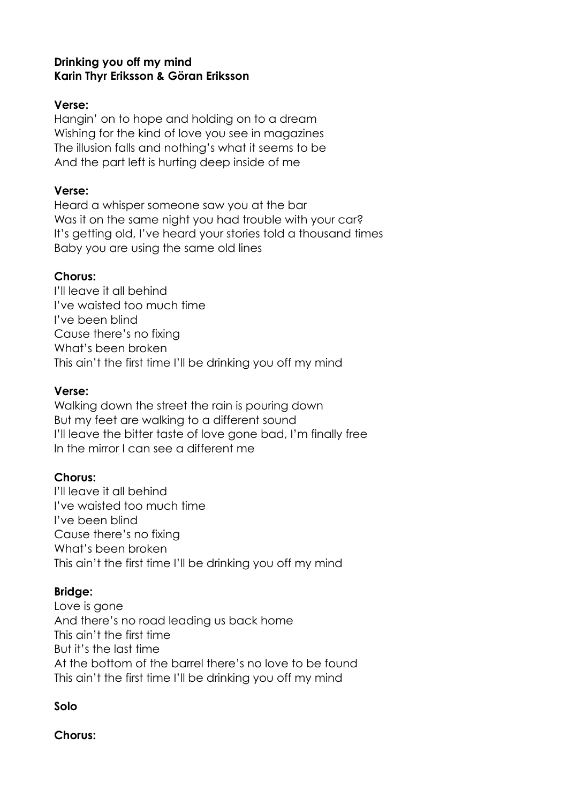### **Drinking you off my mind Karin Thyr Eriksson & Göran Eriksson**

#### **Verse:**

Hangin' on to hope and holding on to a dream Wishing for the kind of love you see in magazines The illusion falls and nothing's what it seems to be And the part left is hurting deep inside of me

#### **Verse:**

Heard a whisper someone saw you at the bar Was it on the same night you had trouble with your car? It's getting old, I've heard your stories told a thousand times Baby you are using the same old lines

### **Chorus:**

I'll leave it all behind I've waisted too much time I've been blind Cause there's no fixing What's been broken This ain't the first time I'll be drinking you off my mind

### **Verse:**

Walking down the street the rain is pouring down But my feet are walking to a different sound I'll leave the bitter taste of love gone bad, I'm finally free In the mirror I can see a different me

# **Chorus:**

I'll leave it all behind I've waisted too much time I've been blind Cause there's no fixing What's been broken This ain't the first time I'll be drinking you off my mind

# **Bridge:**

Love is gone And there's no road leading us back home This ain't the first time But it's the last time At the bottom of the barrel there's no love to be found This ain't the first time I'll be drinking you off my mind

# **Solo**

**Chorus:**